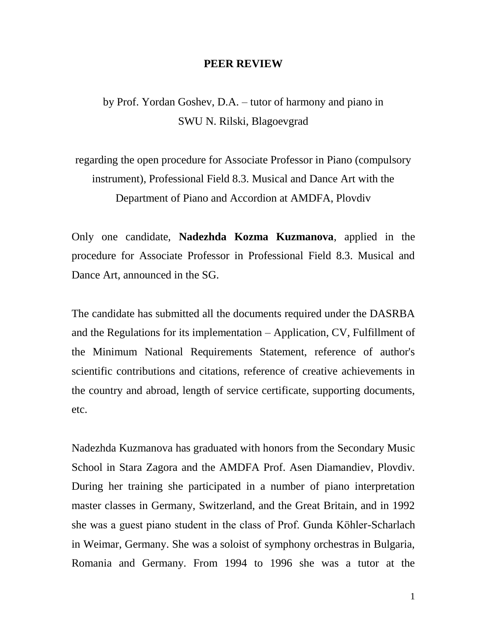## **PEER REVIEW**

by Prof. Yordan Goshev, D.A. – tutor of harmony and piano in SWU N. Rilski, Blagoevgrad

regarding the open procedure for Associate Professor in Piano (compulsory instrument), Professional Field 8.3. Musical and Dance Art with the Department of Piano and Accordion at AMDFA, Plovdiv

Only one candidate, **Nadezhda Kozma Kuzmanova**, applied in the procedure for Associate Professor in Professional Field 8.3. Musical and Dance Art, announced in the SG.

The candidate has submitted all the documents required under the DASRBA and the Regulations for its implementation – Application, CV, Fulfillment of the Minimum National Requirements Statement, reference of author's scientific contributions and citations, reference of creative achievements in the country and abroad, length of service certificate, supporting documents, etc.

Nadezhda Kuzmanova has graduated with honors from the Secondary Music School in Stara Zagora and the AMDFA Prof. Asen Diamandiev, Plovdiv. During her training she participated in a number of piano interpretation master classes in Germany, Switzerland, and the Great Britain, and in 1992 she was a guest piano student in the class of Prof. Gunda Köhler-Scharlach in Weimar, Germany. She was a soloist of symphony orchestras in Bulgaria, Romania and Germany. From 1994 to 1996 she was a tutor at the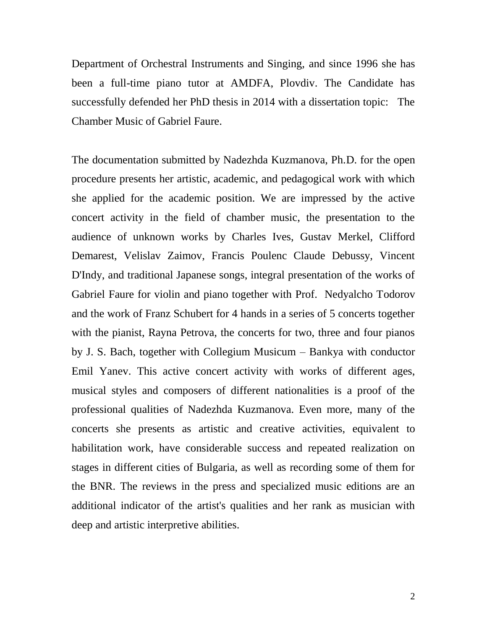Department of Orchestral Instruments and Singing, and since 1996 she has been a full-time piano tutor at AMDFA, Plovdiv. The Candidate has successfully defended her PhD thesis in 2014 with a dissertation topic: The Chamber Music of Gabriel Faure.

The documentation submitted by Nadezhda Kuzmanova, Ph.D. for the open procedure presents her artistic, academic, and pedagogical work with which she applied for the academic position. We are impressed by the active concert activity in the field of chamber music, the presentation to the audience of unknown works by Charles Ives, Gustav Merkel, Clifford Demarest, Velislav Zaimov, Francis Poulenc Claude Debussy, Vincent D'Indy, and traditional Japanese songs, integral presentation of the works of Gabriel Faure for violin and piano together with Prof. Nedyalcho Todorov and the work of Franz Schubert for 4 hands in a series of 5 concerts together with the pianist, Rayna Petrova, the concerts for two, three and four pianos by J. S. Bach, together with Collegium Musicum – Bankya with conductor Emil Yanev. This active concert activity with works of different ages, musical styles and composers of different nationalities is a proof of the professional qualities of Nadezhda Kuzmanova. Even more, many of the concerts she presents as artistic and creative activities, equivalent to habilitation work, have considerable success and repeated realization on stages in different cities of Bulgaria, as well as recording some of them for the BNR. The reviews in the press and specialized music editions are an additional indicator of the artist's qualities and her rank as musician with deep and artistic interpretive abilities.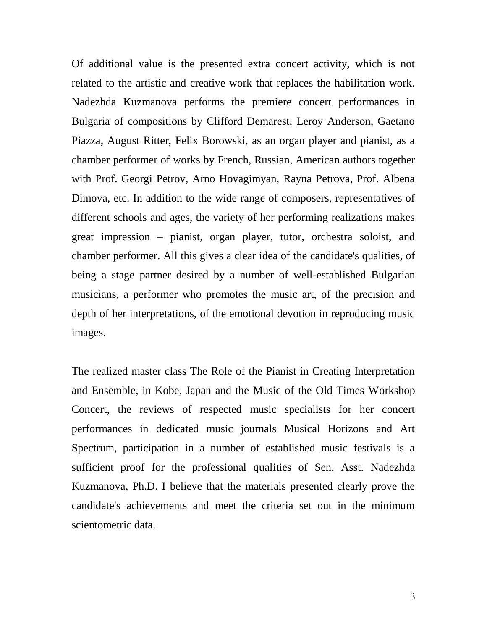Of additional value is the presented extra concert activity, which is not related to the artistic and creative work that replaces the habilitation work. Nadezhda Kuzmanova performs the premiere concert performances in Bulgaria of compositions by Clifford Demarest, Leroy Anderson, Gaetano Piazza, August Ritter, Felix Borowski, as an organ player and pianist, as a chamber performer of works by French, Russian, American authors together with Prof. Georgi Petrov, Arno Hovagimyan, Rayna Petrova, Prof. Albena Dimova, etc. In addition to the wide range of composers, representatives of different schools and ages, the variety of her performing realizations makes great impression – pianist, organ player, tutor, orchestra soloist, and chamber performer. All this gives a clear idea of the candidate's qualities, of being a stage partner desired by a number of well-established Bulgarian musicians, a performer who promotes the music art, of the precision and depth of her interpretations, of the emotional devotion in reproducing music images.

The realized master class The Role of the Pianist in Creating Interpretation and Ensemble, in Kobe, Japan and the Music of the Old Times Workshop Concert, the reviews of respected music specialists for her concert performances in dedicated music journals Musical Horizons and Art Spectrum, participation in a number of established music festivals is a sufficient proof for the professional qualities of Sen. Asst. Nadezhda Kuzmanova, Ph.D. I believe that the materials presented clearly prove the candidate's achievements and meet the criteria set out in the minimum scientometric data.